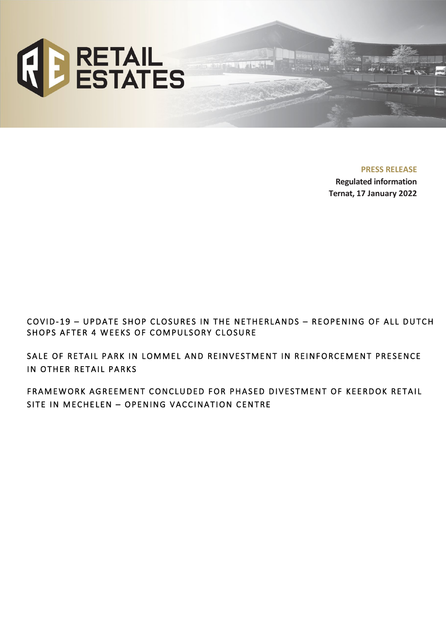

**PRESS RELEASE**

**Regulated information Ternat, 17 January 2022**

COVID- 19 – UPDATE SHOP CLOSURES IN THE NETHERLANDS – REOPENING OF ALL DUTCH SHOPS AFTER 4 WEEKS OF COMPULSORY CLOSURE

SALE OF RETAIL PARK IN LOMMEL AND REINVESTMENT IN REINFORCEMENT PRESENCE IN OTHER RETAIL PARKS

FRAMEWORK AGREEMENT CONCLUDED FOR PHASED DIVESTMENT OF KEERDOK RETAIL SITE IN MECHELEN – OPENING VACCINATION CENTRE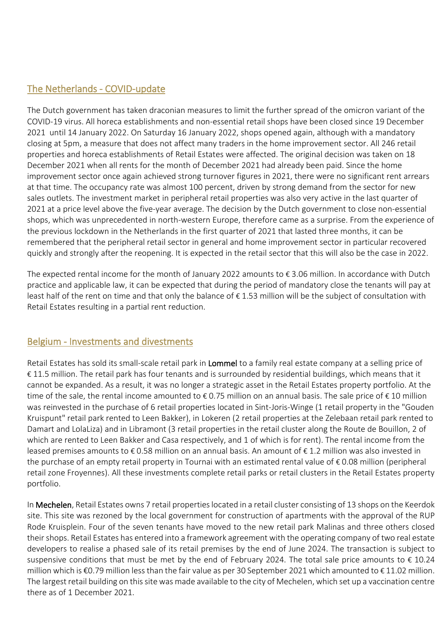## The Netherlands - COVID-update

The Dutch government has taken draconian measures to limit the further spread of the omicron variant of the COVID-19 virus. All horeca establishments and non-essential retail shops have been closed since 19 December 2021 until 14 January 2022. On Saturday 16 January 2022, shops opened again, although with a mandatory closing at 5pm, a measure that does not affect many traders in the home improvement sector. All 246 retail properties and horeca establishments of Retail Estates were affected. The original decision was taken on 18 December 2021 when all rents for the month of December 2021 had already been paid. Since the home improvement sector once again achieved strong turnover figures in 2021, there were no significant rent arrears at that time. The occupancy rate was almost 100 percent, driven by strong demand from the sector for new sales outlets. The investment market in peripheral retail properties was also very active in the last quarter of 2021 at a price level above the five-year average. The decision by the Dutch government to close non-essential shops, which was unprecedented in north-western Europe, therefore came as a surprise. From the experience of the previous lockdown in the Netherlands in the first quarter of 2021 that lasted three months, it can be remembered that the peripheral retail sector in general and home improvement sector in particular recovered quickly and strongly after the reopening. It is expected in the retail sector that this will also be the case in 2022.

The expected rental income for the month of January 2022 amounts to € 3.06 million. In accordance with Dutch practice and applicable law, it can be expected that during the period of mandatory close the tenants will pay at least half of the rent on time and that only the balance of € 1.53 million will be the subject of consultation with Retail Estates resulting in a partial rent reduction.

### Belgium - Investments and divestments

Retail Estates has sold its small-scale retail park in Lommel to a family real estate company at a selling price of € 11.5 million. The retail park has four tenants and is surrounded by residential buildings, which means that it cannot be expanded. As a result, it was no longer a strategic asset in the Retail Estates property portfolio. At the time of the sale, the rental income amounted to  $\epsilon$  0.75 million on an annual basis. The sale price of  $\epsilon$  10 million was reinvested in the purchase of 6 retail properties located in Sint-Joris-Winge (1 retail property in the "Gouden Kruispunt" retail park rented to Leen Bakker), in Lokeren (2 retail properties at the Zelebaan retail park rented to Damart and LolaLiza) and in Libramont (3 retail properties in the retail cluster along the Route de Bouillon, 2 of which are rented to Leen Bakker and Casa respectively, and 1 of which is for rent). The rental income from the leased premises amounts to € 0.58 million on an annual basis. An amount of € 1.2 million was also invested in the purchase of an empty retail property in Tournai with an estimated rental value of € 0.08 million (peripheral retail zone Froyennes). All these investments complete retail parks or retail clusters in the Retail Estates property portfolio.

In Mechelen, Retail Estates owns 7 retail properties located in a retail cluster consisting of 13 shops on the Keerdok site. This site was rezoned by the local government for construction of apartments with the approval of the RUP Rode Kruisplein. Four of the seven tenants have moved to the new retail park Malinas and three others closed their shops. Retail Estates has entered into a framework agreement with the operating company of two real estate developers to realise a phased sale of its retail premises by the end of June 2024. The transaction is subject to suspensive conditions that must be met by the end of February 2024. The total sale price amounts to € 10.24 million which is €0.79 million less than the fair value as per 30 September 2021 which amounted to € 11.02 million. The largest retail building on this site was made available to the city of Mechelen, which set up a vaccination centre there as of 1 December 2021.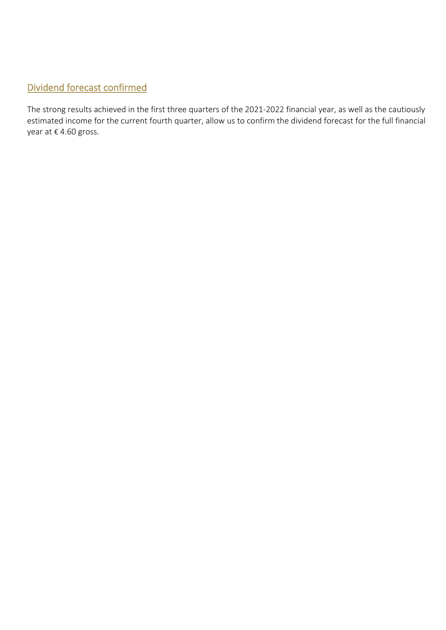# Dividend forecast confirmed

The strong results achieved in the first three quarters of the 2021-2022 financial year, as well as the cautiously estimated income for the current fourth quarter, allow us to confirm the dividend forecast for the full financial year at € 4.60 gross.